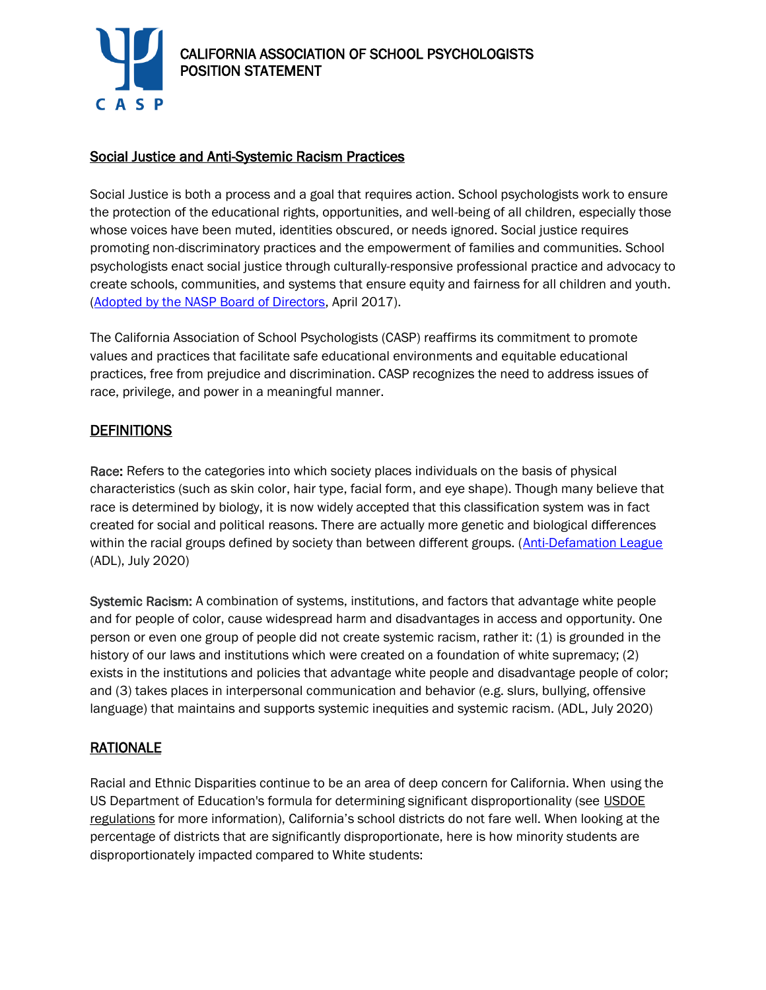

### Social Justice and Anti-Systemic Racism Practices

Social Justice is both a process and a goal that requires action. School psychologists work to ensure the protection of the educational rights, opportunities, and well-being of all children, especially those whose voices have been muted, identities obscured, or needs ignored. Social justice requires promoting non-discriminatory practices and the empowerment of families and communities. School psychologists enact social justice through culturally-responsive professional practice and advocacy to create schools, communities, and systems that ensure equity and fairness for all children and youth. [\(Adopted by the NASP Board of Directors,](https://www.nasponline.org/resources-and-publications/resources-and-podcasts/diversity-and-social-justice/social-justice) April 2017).

The California Association of School Psychologists (CASP) reaffirms its commitment to promote values and practices that facilitate safe educational environments and equitable educational practices, free from prejudice and discrimination. CASP recognizes the need to address issues of race, privilege, and power in a meaningful manner.

#### **DEFINITIONS**

Race: Refers to the categories into which society places individuals on the basis of physical characteristics (such as skin color, hair type, facial form, and eye shape). Though many believe that race is determined by biology, it is now widely accepted that this classification system was in fact created for social and political reasons. There are actually more genetic and biological differences within the racial groups defined by society than between different groups. [\(Anti-Defamation League](https://www.adl.org/racism) (ADL), July 2020)

Systemic Racism: A combination of systems, institutions, and factors that advantage white people and for people of color, cause widespread harm and disadvantages in access and opportunity. One person or even one group of people did not create systemic racism, rather it: (1) is grounded in the history of our laws and institutions which were created on a foundation of white supremacy; (2) exists in the institutions and policies that advantage white people and disadvantage people of color; and (3) takes places in interpersonal communication and behavior (e.g. slurs, bullying, offensive language) that maintains and supports systemic inequities and systemic racism. (ADL, July 2020)

## RATIONALE

Racial and Ethnic Disparities continue to be an area of deep concern for California. When using the US Department of Education's formula for determining significant disproportionality (see [USDOE](https://www2.ed.gov/policy/speced/reg/idea/part-b/idea-part-b-significant-disproportionality-final-regs-changes-nprm-to-nfr.pdf)  [regulations](https://www2.ed.gov/policy/speced/reg/idea/part-b/idea-part-b-significant-disproportionality-final-regs-changes-nprm-to-nfr.pdf) for more information), California's school districts do not fare well. When looking at the percentage of districts that are significantly disproportionate, here is how minority students are disproportionately impacted compared to White students: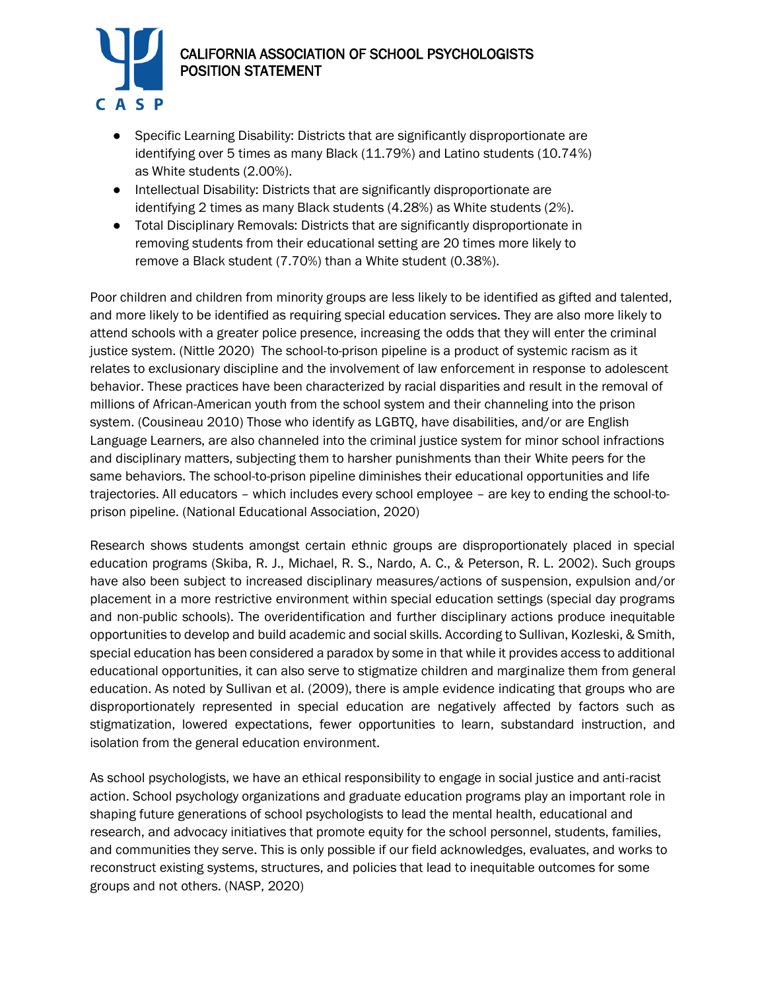

# CALIFORNIA ASSOCIATION OF SCHOOL PSYCHOLOGISTS POSITION STATEMENT

- Specific Learning Disability: Districts that are significantly disproportionate are identifying over 5 times as many Black (11.79%) and Latino students (10.74%) as White students (2.00%).
- Intellectual Disability: Districts that are significantly disproportionate are identifying 2 times as many Black students (4.28%) as White students (2%).
- Total Disciplinary Removals: Districts that are significantly disproportionate in removing students from their educational setting are 20 times more likely to remove a Black student (7.70%) than a White student (0.38%).

Poor children and children from minority groups are less likely to be identified as gifted and talented, and more likely to be identified as requiring special education services. They are also more likely to attend schools with a greater police presence, increasing the odds that they will enter the criminal justice system. (Nittle 2020) The school-to-prison pipeline is a product of systemic racism as it relates to exclusionary discipline and the involvement of law enforcement in response to adolescent behavior. These practices have been characterized by racial disparities and result in the removal of millions of African-American youth from the school system and their channeling into the prison system. (Cousineau 2010) Those who identify as LGBTQ, have disabilities, and/or are English Language Learners, are also channeled into the criminal justice system for minor school infractions and disciplinary matters, subjecting them to harsher punishments than their White peers for the same behaviors. The school-to-prison pipeline diminishes their educational opportunities and life trajectories. All educators – which includes every school employee – are key to ending the school-toprison pipeline. (National Educational Association, 2020)

Research shows students amongst certain ethnic groups are disproportionately placed in special education programs (Skiba, R. J., Michael, R. S., Nardo, A. C., & Peterson, R. L. 2002). Such groups have also been subject to increased disciplinary measures/actions of suspension, expulsion and/or placement in a more restrictive environment within special education settings (special day programs and non-public schools). The overidentification and further disciplinary actions produce inequitable opportunities to develop and build academic and social skills. According to Sullivan, Kozleski, & Smith, special education has been considered a paradox by some in that while it provides access to additional educational opportunities, it can also serve to stigmatize children and marginalize them from general education. As noted by Sullivan et al. (2009), there is ample evidence indicating that groups who are disproportionately represented in special education are negatively affected by factors such as stigmatization, lowered expectations, fewer opportunities to learn, substandard instruction, and isolation from the general education environment.

As school psychologists, we have an ethical responsibility to engage in social justice and anti-racist action. School psychology organizations and graduate education programs play an important role in shaping future generations of school psychologists to lead the mental health, educational and research, and advocacy initiatives that promote equity for the school personnel, students, families, and communities they serve. This is only possible if our field acknowledges, evaluates, and works to reconstruct existing systems, structures, and policies that lead to inequitable outcomes for some groups and not others. (NASP, 2020)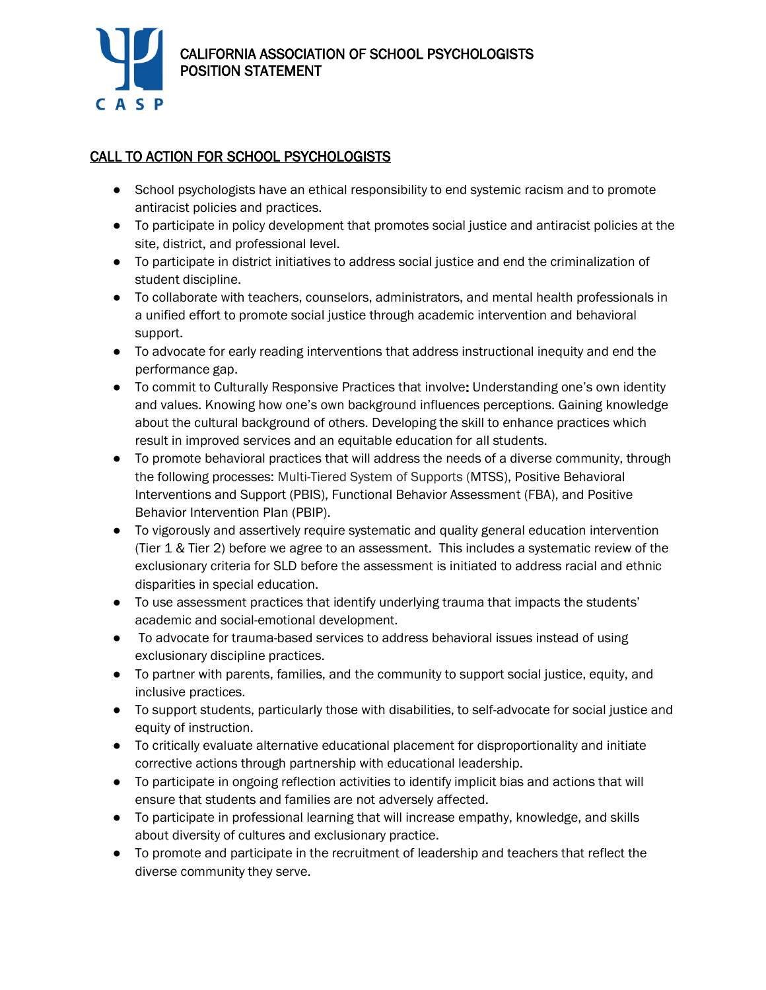

## CALL TO ACTION FOR SCHOOL PSYCHOLOGISTS

- School psychologists have an ethical responsibility to end systemic racism and to promote antiracist policies and practices.
- To participate in policy development that promotes social justice and antiracist policies at the site, district, and professional level.
- To participate in district initiatives to address social justice and end the criminalization of student discipline.
- To collaborate with teachers, counselors, administrators, and mental health professionals in a unified effort to promote social justice through academic intervention and behavioral support.
- To advocate for early reading interventions that address instructional inequity and end the performance gap.
- To commit to Culturally Responsive Practices that involve: Understanding one's own identity and values. Knowing how one's own background influences perceptions. Gaining knowledge about the cultural background of others. Developing the skill to enhance practices which result in improved services and an equitable education for all students.
- To promote behavioral practices that will address the needs of a diverse community, through the following processes: Multi-Tiered System of Supports (MTSS), Positive Behavioral Interventions and Support (PBIS), Functional Behavior Assessment (FBA), and Positive Behavior Intervention Plan (PBIP).
- To vigorously and assertively require systematic and quality general education intervention (Tier 1 & Tier 2) before we agree to an assessment. This includes a systematic review of the exclusionary criteria for SLD before the assessment is initiated to address racial and ethnic disparities in special education.
- To use assessment practices that identify underlying trauma that impacts the students' academic and social-emotional development.
- To advocate for trauma-based services to address behavioral issues instead of using exclusionary discipline practices.
- To partner with parents, families, and the community to support social justice, equity, and inclusive practices.
- To support students, particularly those with disabilities, to self-advocate for social justice and equity of instruction.
- To critically evaluate alternative educational placement for disproportionality and initiate corrective actions through partnership with educational leadership.
- To participate in ongoing reflection activities to identify implicit bias and actions that will ensure that students and families are not adversely affected.
- To participate in professional learning that will increase empathy, knowledge, and skills about diversity of cultures and exclusionary practice.
- To promote and participate in the recruitment of leadership and teachers that reflect the diverse community they serve.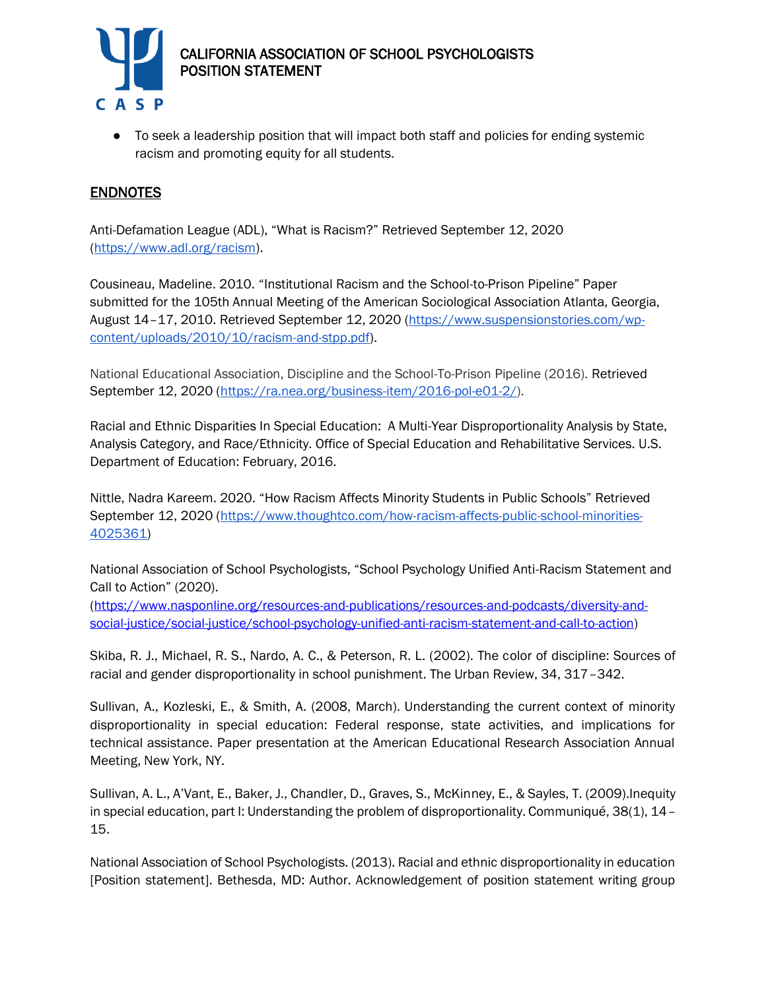

# CALIFORNIA ASSOCIATION OF SCHOOL PSYCHOLOGISTS POSITION STATEMENT

● To seek a leadership position that will impact both staff and policies for ending systemic racism and promoting equity for all students.

## **ENDNOTES**

Anti-Defamation League (ADL), "What is Racism?" Retrieved September 12, 2020 [\(https://www.adl.org/racism\)](https://www.adl.org/racism).

Cousineau, Madeline. 2010. "Institutional Racism and the School-to-Prison Pipeline" Paper submitted for the 105th Annual Meeting of the American Sociological Association Atlanta, Georgia, August 14–17, 2010. Retrieved September 12, 2020 [\(https://www.suspensionstories.com/wp](https://www.suspensionstories.com/wp-content/uploads/2010/10/racism-and-stpp.pdf)[content/uploads/2010/10/racism-and-stpp.pdf\)](https://www.suspensionstories.com/wp-content/uploads/2010/10/racism-and-stpp.pdf).

National Educational Association, Discipline and the School-To-Prison Pipeline (2016). Retrieved September 12, 2020 [\(https://ra.nea.org/business-item/2016-pol-e01-2/\)](https://ra.nea.org/business-item/2016-pol-e01-2/).

Racial and Ethnic Disparities In Special Education: A Multi-Year Disproportionality Analysis by State, Analysis Category, and Race/Ethnicity. Office of Special Education and Rehabilitative Services. U.S. Department of Education: February, 2016.

Nittle, Nadra Kareem. 2020. "How Racism Affects Minority Students in Public Schools" Retrieved September 12, 2020 [\(https://www.thoughtco.com/how-racism-affects-public-school-minorities-](https://www.thoughtco.com/how-racism-affects-public-school-minorities-4025361)[4025361\)](https://www.thoughtco.com/how-racism-affects-public-school-minorities-4025361)

National Association of School Psychologists, "School Psychology Unified Anti-Racism Statement and Call to Action" (2020).

[\(https://www.nasponline.org/resources-and-publications/resources-and-podcasts/diversity-and](https://www.nasponline.org/resources-and-publications/resources-and-podcasts/diversity-and-social-justice/social-justice/school-psychology-unified-anti-racism-statement-and-call-to-action)[social-justice/social-justice/school-psychology-unified-anti-racism-statement-and-call-to-action\)](https://www.nasponline.org/resources-and-publications/resources-and-podcasts/diversity-and-social-justice/social-justice/school-psychology-unified-anti-racism-statement-and-call-to-action)

Skiba, R. J., Michael, R. S., Nardo, A. C., & Peterson, R. L. (2002). The color of discipline: Sources of racial and gender disproportionality in school punishment. The Urban Review, 34, 317–342.

Sullivan, A., Kozleski, E., & Smith, A. (2008, March). Understanding the current context of minority disproportionality in special education: Federal response, state activities, and implications for technical assistance. Paper presentation at the American Educational Research Association Annual Meeting, New York, NY.

Sullivan, A. L., A'Vant, E., Baker, J., Chandler, D., Graves, S., McKinney, E., & Sayles, T. (2009).Inequity in special education, part I: Understanding the problem of disproportionality. Communiqué, 38(1), 14– 15.

National Association of School Psychologists. (2013). Racial and ethnic disproportionality in education [Position statement]. Bethesda, MD: Author. Acknowledgement of position statement writing group